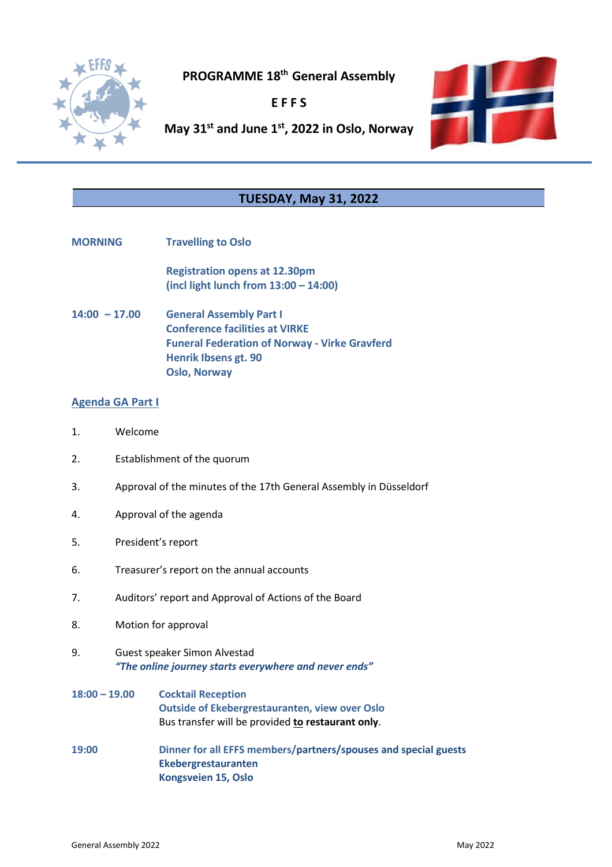

**PROGRAMME 18th General Assembly**

**E F F S**



**May 31st and June 1st, 2022 in Oslo, Norway**

## **TUESDAY, May 31, 2022**

**MORNING Travelling to Oslo**

**Registration opens at 12.30pm (incl light lunch from 13:00 – 14:00)**

**14:00 – 17.00 General Assembly Part I Conference facilities at VIRKE Funeral Federation of Norway - Virke Gravferd Henrik Ibsens gt. 90 Oslo, Norway**

## **Agenda GA Part I**

- 1. Welcome
- 2. Establishment of the quorum
- 3. Approval of the minutes of the 17th General Assembly in Düsseldorf
- 4. Approval of the agenda
- 5. President's report
- 6. Treasurer's report on the annual accounts
- 7. Auditors' report and Approval of Actions of the Board
- 8. Motion for approval
- 9. Guest speaker Simon Alvestad *"The online journey starts everywhere and never ends"*
- **18:00 – 19.00 Cocktail Reception Outside of Ekebergrestauranten, view over Oslo** Bus transfer will be provided **to restaurant only**.
- **19:00 Dinner for all EFFS members/partners/spouses and special guests Ekebergrestauranten Kongsveien 15, Oslo**